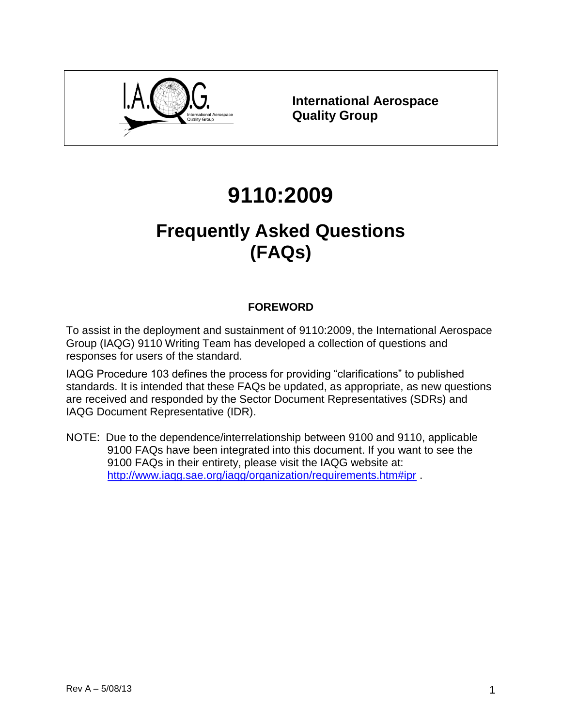

**International Aerospace Quality Group**

# **9110:2009**

## **Frequently Asked Questions (FAQs)**

## **FOREWORD**

To assist in the deployment and sustainment of 9110:2009, the International Aerospace Group (IAQG) 9110 Writing Team has developed a collection of questions and responses for users of the standard.

IAQG Procedure 103 defines the process for providing "clarifications" to published standards. It is intended that these FAQs be updated, as appropriate, as new questions are received and responded by the Sector Document Representatives (SDRs) and IAQG Document Representative (IDR).

NOTE: Due to the dependence/interrelationship between 9100 and 9110, applicable 9100 FAQs have been integrated into this document. If you want to see the 9100 FAQs in their entirety, please visit the IAQG website at: <http://www.iaqg.sae.org/iaqg/organization/requirements.htm#ipr> .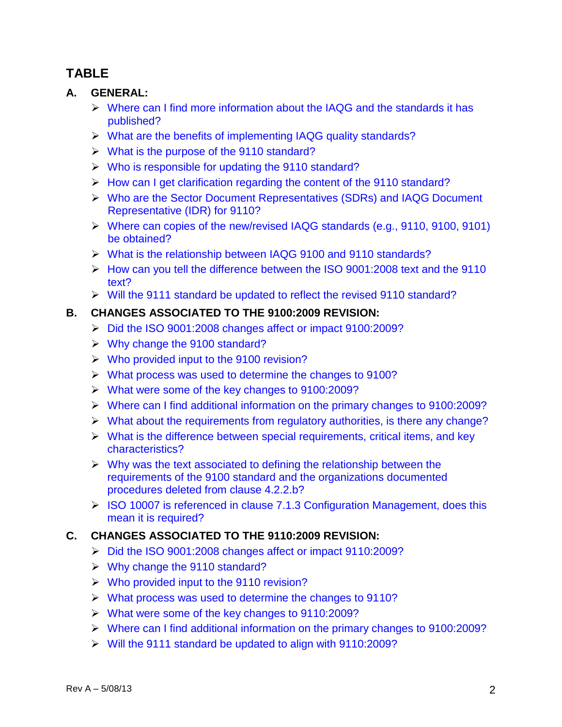## **TABLE**

### **A. GENERAL:**

- $\triangleright$  Where can I find more information about the IAQG and the standards it has published?
- What are the benefits of implementing IAQG quality standards?
- $\triangleright$  What is the purpose of the 9110 standard?
- $\triangleright$  Who is responsible for updating the 9110 standard?
- $\triangleright$  How can I get clarification regarding the content of the 9110 standard?
- Who are the Sector Document Representatives (SDRs) and IAQG Document Representative (IDR) for 9110?
- Where can copies of the new/revised IAQG standards (e.g., 9110, 9100, 9101) be obtained?
- What is the relationship between IAQG 9100 and 9110 standards?
- How can you tell the difference between the ISO 9001:2008 text and the 9110 text?
- Will the 9111 standard be updated to reflect the revised 9110 standard?

## **B. CHANGES ASSOCIATED TO THE 9100:2009 REVISION:**

- Did the ISO 9001:2008 changes affect or impact 9100:2009?
- $\triangleright$  Why change the 9100 standard?
- Who provided input to the 9100 revision?
- What process was used to determine the changes to 9100?
- What were some of the key changes to 9100:2009?
- Where can I find additional information on the primary changes to 9100:2009?
- $\triangleright$  What about the requirements from regulatory authorities, is there any change?
- $\triangleright$  What is the difference between special requirements, critical items, and key characteristics?
- $\triangleright$  Why was the text associated to defining the relationship between the requirements of the 9100 standard and the organizations documented procedures deleted from clause 4.2.2.b?
- ▶ ISO 10007 is referenced in clause 7.1.3 Configuration Management, does this mean it is required?

## **C. CHANGES ASSOCIATED TO THE 9110:2009 REVISION:**

- Did the ISO 9001:2008 changes affect or impact 9110:2009?
- $\triangleright$  Why change the 9110 standard?
- Who provided input to the 9110 revision?
- What process was used to determine the changes to 9110?
- What were some of the key changes to 9110:2009?
- Where can I find additional information on the primary changes to 9100:2009?
- Will the 9111 standard be updated to align with 9110:2009?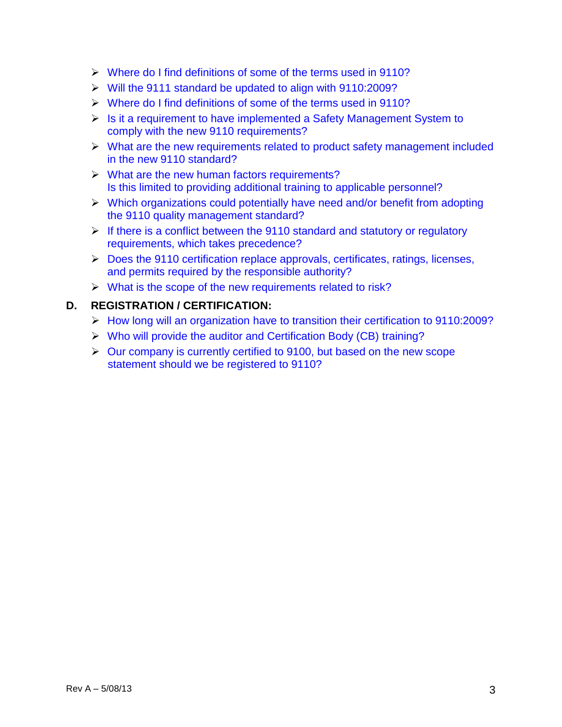- Where do I find definitions of some of the terms used in 9110?
- Will the 9111 standard be updated to align with 9110:2009?
- Where do I find definitions of some of the terms used in 9110?
- $\triangleright$  Is it a requirement to have implemented a Safety Management System to comply with the new 9110 requirements?
- What are the new requirements related to product safety management included in the new 9110 standard?
- $\triangleright$  What are the new human factors requirements? Is this limited to providing additional training to applicable personnel?
- $\triangleright$  Which organizations could potentially have need and/or benefit from adopting the 9110 quality management standard?
- $\triangleright$  If there is a conflict between the 9110 standard and statutory or regulatory requirements, which takes precedence?
- Does the 9110 certification replace approvals, certificates, ratings, licenses, and permits required by the responsible authority?
- $\triangleright$  What is the scope of the new requirements related to risk?

#### **D. REGISTRATION / CERTIFICATION:**

- How long will an organization have to transition their certification to 9110:2009?
- Who will provide the auditor and Certification Body (CB) training?
- $\triangleright$  Our company is currently certified to 9100, but based on the new scope statement should we be registered to 9110?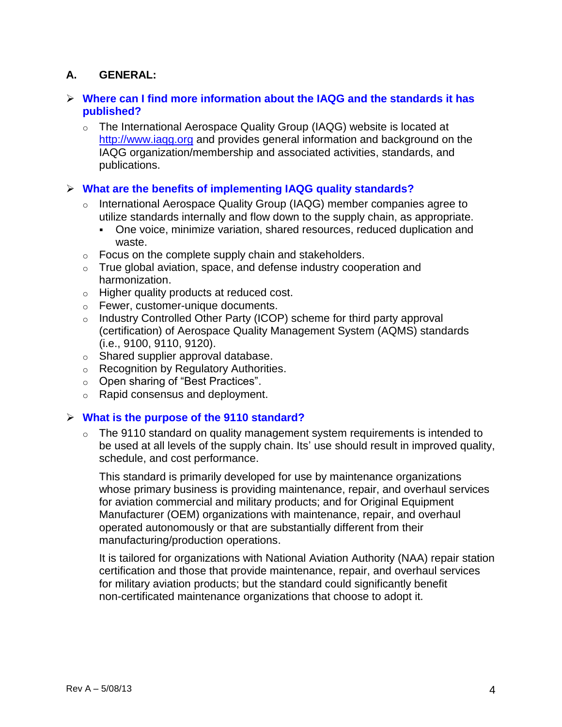## **A. GENERAL:**

#### **Where can I find more information about the IAQG and the standards it has published?**

o The International Aerospace Quality Group (IAQG) website is located at http://www.iaqg.org and provides general information and background on the IAQG organization/membership and associated activities, standards, and publications.

#### **What are the benefits of implementing IAQG quality standards?**

- o International Aerospace Quality Group (IAQG) member companies agree to utilize standards internally and flow down to the supply chain, as appropriate.
	- One voice, minimize variation, shared resources, reduced duplication and waste.
- $\circ$  Focus on the complete supply chain and stakeholders.
- $\circ$  True global aviation, space, and defense industry cooperation and harmonization.
- o Higher quality products at reduced cost.
- o Fewer, customer-unique documents.
- o Industry Controlled Other Party (ICOP) scheme for third party approval (certification) of Aerospace Quality Management System (AQMS) standards (i.e., 9100, 9110, 9120).
- o Shared supplier approval database.
- o Recognition by Regulatory Authorities.
- o Open sharing of "Best Practices".
- o Rapid consensus and deployment.

#### **What is the purpose of the 9110 standard?**

 $\circ$  The 9110 standard on quality management system requirements is intended to be used at all levels of the supply chain. Its' use should result in improved quality, schedule, and cost performance.

This standard is primarily developed for use by maintenance organizations whose primary business is providing maintenance, repair, and overhaul services for aviation commercial and military products; and for Original Equipment Manufacturer (OEM) organizations with maintenance, repair, and overhaul operated autonomously or that are substantially different from their manufacturing/production operations.

It is tailored for organizations with National Aviation Authority (NAA) repair station certification and those that provide maintenance, repair, and overhaul services for military aviation products; but the standard could significantly benefit non-certificated maintenance organizations that choose to adopt it.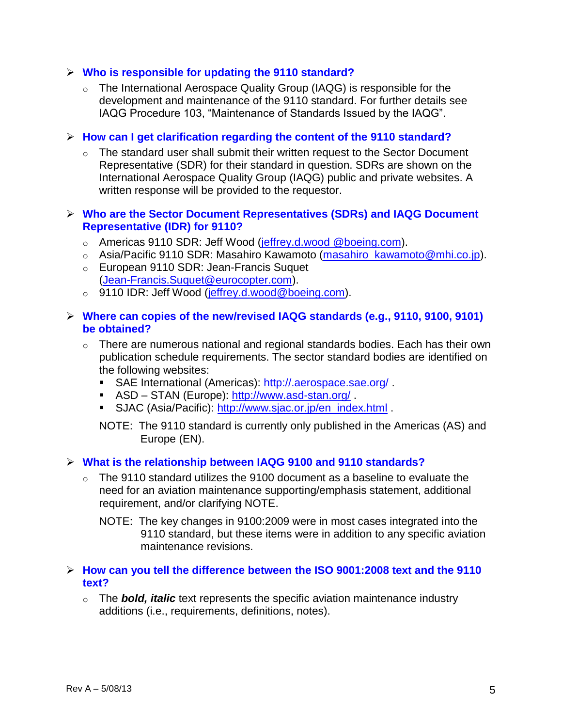#### **Who is responsible for updating the 9110 standard?**

o The International Aerospace Quality Group (IAQG) is responsible for the development and maintenance of the 9110 standard. For further details see IAQG Procedure 103, "Maintenance of Standards Issued by the IAQG".

#### **How can I get clarification regarding the content of the 9110 standard?**

 $\circ$  The standard user shall submit their written request to the Sector Document Representative (SDR) for their standard in question. SDRs are shown on the International Aerospace Quality Group (IAQG) public and private websites. A written response will be provided to the requestor.

#### **Who are the Sector Document Representatives (SDRs) and IAQG Document Representative (IDR) for 9110?**

- o Americas 9110 SDR: Jeff Wood (jeffrey.d.wood @boeing.com).
- o Asia/Pacific 9110 SDR: Masahiro Kawamoto (masahiro\_kawamoto@mhi.co.jp).
- o European 9110 SDR: Jean-Francis Suquet (Jean-Francis.Suquet@eurocopter.com).
- o 9110 IDR: Jeff Wood (jeffrey.d.wood@boeing.com).

#### **Where can copies of the new/revised IAQG standards (e.g., 9110, 9100, 9101) be obtained?**

- $\circ$  There are numerous national and regional standards bodies. Each has their own publication schedule requirements. The sector standard bodies are identified on the following websites:
	- SAE International (Americas):<http://.aerospace.sae.org/>.
	- ASD STAN (Europe):<http://www.asd-stan.org/>
	- SJAC (Asia/Pacific): [http://www.sjac.or.jp/en\\_index.html](http://www.sjac.or.jp/en_index.html) .

NOTE: The 9110 standard is currently only published in the Americas (AS) and Europe (EN).

#### **What is the relationship between IAQG 9100 and 9110 standards?**

- $\circ$  The 9110 standard utilizes the 9100 document as a baseline to evaluate the need for an aviation maintenance supporting/emphasis statement, additional requirement, and/or clarifying NOTE.
	- NOTE: The key changes in 9100:2009 were in most cases integrated into the 9110 standard, but these items were in addition to any specific aviation maintenance revisions.

#### **How can you tell the difference between the ISO 9001:2008 text and the 9110 text?**

o The *bold, italic* text represents the specific aviation maintenance industry additions (i.e., requirements, definitions, notes).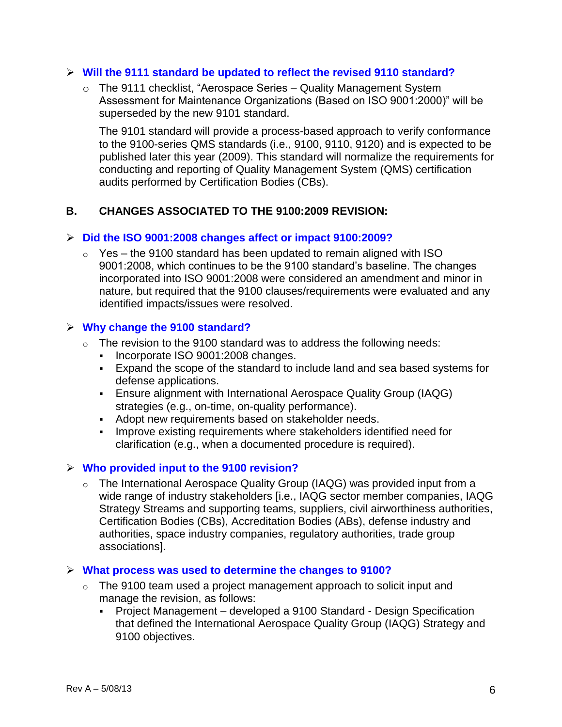#### **Will the 9111 standard be updated to reflect the revised 9110 standard?**

o The 9111 checklist, "Aerospace Series – Quality Management System Assessment for Maintenance Organizations (Based on ISO 9001:2000)" will be superseded by the new 9101 standard.

The 9101 standard will provide a process-based approach to verify conformance to the 9100-series QMS standards (i.e., 9100, 9110, 9120) and is expected to be published later this year (2009). This standard will normalize the requirements for conducting and reporting of Quality Management System (QMS) certification audits performed by Certification Bodies (CBs).

#### **B. CHANGES ASSOCIATED TO THE 9100:2009 REVISION:**

#### **Did the ISO 9001:2008 changes affect or impact 9100:2009?**

 $\degree$  Yes – the 9100 standard has been updated to remain aligned with ISO 9001:2008, which continues to be the 9100 standard's baseline. The changes incorporated into ISO 9001:2008 were considered an amendment and minor in nature, but required that the 9100 clauses/requirements were evaluated and any identified impacts/issues were resolved.

#### **Why change the 9100 standard?**

- $\circ$  The revision to the 9100 standard was to address the following needs:
	- Incorporate ISO 9001:2008 changes.
	- Expand the scope of the standard to include land and sea based systems for defense applications.
	- Ensure alignment with International Aerospace Quality Group (IAQG) strategies (e.g., on-time, on-quality performance).
	- Adopt new requirements based on stakeholder needs.
	- Improve existing requirements where stakeholders identified need for clarification (e.g., when a documented procedure is required).

#### **Who provided input to the 9100 revision?**

o The International Aerospace Quality Group (IAQG) was provided input from a wide range of industry stakeholders [i.e., IAQG sector member companies, IAQG Strategy Streams and supporting teams, suppliers, civil airworthiness authorities, Certification Bodies (CBs), Accreditation Bodies (ABs), defense industry and authorities, space industry companies, regulatory authorities, trade group associations].

#### **What process was used to determine the changes to 9100?**

- $\circ$  The 9100 team used a project management approach to solicit input and manage the revision, as follows:
	- Project Management developed a 9100 Standard Design Specification that defined the International Aerospace Quality Group (IAQG) Strategy and 9100 objectives.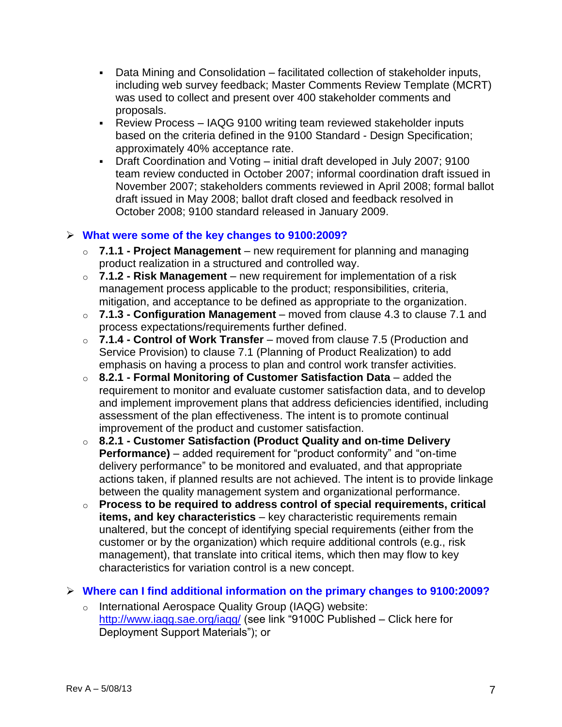- Data Mining and Consolidation facilitated collection of stakeholder inputs, including web survey feedback; Master Comments Review Template (MCRT) was used to collect and present over 400 stakeholder comments and proposals.
- Review Process IAQG 9100 writing team reviewed stakeholder inputs based on the criteria defined in the 9100 Standard - Design Specification; approximately 40% acceptance rate.
- Draft Coordination and Voting initial draft developed in July 2007; 9100 team review conducted in October 2007; informal coordination draft issued in November 2007; stakeholders comments reviewed in April 2008; formal ballot draft issued in May 2008; ballot draft closed and feedback resolved in October 2008; 9100 standard released in January 2009.

#### **What were some of the key changes to 9100:2009?**

- o **7.1.1 - Project Management** new requirement for planning and managing product realization in a structured and controlled way.
- o **7.1.2 - Risk Management** new requirement for implementation of a risk management process applicable to the product; responsibilities, criteria, mitigation, and acceptance to be defined as appropriate to the organization.
- o **7.1.3 - Configuration Management** moved from clause 4.3 to clause 7.1 and process expectations/requirements further defined.
- o **7.1.4 - Control of Work Transfer** moved from clause 7.5 (Production and Service Provision) to clause 7.1 (Planning of Product Realization) to add emphasis on having a process to plan and control work transfer activities.
- o **8.2.1 - Formal Monitoring of Customer Satisfaction Data** added the requirement to monitor and evaluate customer satisfaction data, and to develop and implement improvement plans that address deficiencies identified, including assessment of the plan effectiveness. The intent is to promote continual improvement of the product and customer satisfaction.
- o **8.2.1 - Customer Satisfaction (Product Quality and on-time Delivery Performance)** – added requirement for "product conformity" and "on-time delivery performance" to be monitored and evaluated, and that appropriate actions taken, if planned results are not achieved. The intent is to provide linkage between the quality management system and organizational performance.
- o **Process to be required to address control of special requirements, critical items, and key characteristics** – key characteristic requirements remain unaltered, but the concept of identifying special requirements (either from the customer or by the organization) which require additional controls (e.g., risk management), that translate into critical items, which then may flow to key characteristics for variation control is a new concept.

#### **Where can I find additional information on the primary changes to 9100:2009?**

o International Aerospace Quality Group (IAQG) website: <http://www.iaqg.sae.org/iaqg/> (see link "9100C Published – Click here for Deployment Support Materials"); or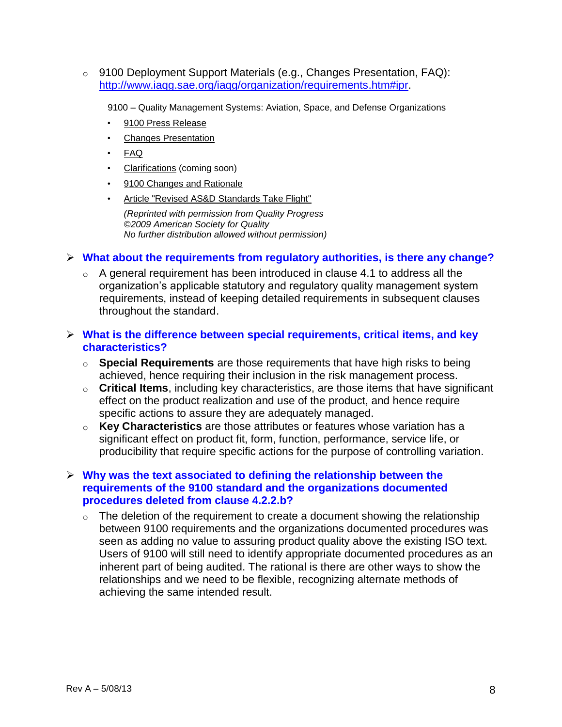o 9100 Deployment Support Materials (e.g., Changes Presentation, FAQ): [http://www.iaqg.sae.org/iaqg/organization/requirements.htm#ipr.](http://www.iaqg.sae.org/iaqg/organization/requirements.htm#ipr)

9100 – Quality Management Systems: Aviation, Space, and Defense Organizations

- [9100 Press Release](http://www.iaqg.sae.org/iaqg/projects/9100pressrelease.pdf)
- [Changes Presentation](http://www.iaqg.sae.org/iaqg/projects/9100changes.pdf)
- [FAQ](http://www.iaqg.sae.org/iaqg/projects/9100faq.pdf)
- Clarifications (coming soon)
- [9100 Changes and Rationale](http://www.iaqg.sae.org/iaqg/projects/9100rationale.pdf)
- [Article "Revised AS&D Standards Take Flight"](http://www.iaqg.sae.org/iaqg/about_us/news/revisedasd.pdf)

*(Reprinted with permission from Quality Progress ©2009 American Society for Quality No further distribution allowed without permission)*

#### **What about the requirements from regulatory authorities, is there any change?**

 $\circ$  A general requirement has been introduced in clause 4.1 to address all the organization's applicable statutory and regulatory quality management system requirements, instead of keeping detailed requirements in subsequent clauses throughout the standard.

#### **What is the difference between special requirements, critical items, and key characteristics?**

- o **Special Requirements** are those requirements that have high risks to being achieved, hence requiring their inclusion in the risk management process.
- o **Critical Items**, including key characteristics, are those items that have significant effect on the product realization and use of the product, and hence require specific actions to assure they are adequately managed.
- o **Key Characteristics** are those attributes or features whose variation has a significant effect on product fit, form, function, performance, service life, or producibility that require specific actions for the purpose of controlling variation.

#### **Why was the text associated to defining the relationship between the requirements of the 9100 standard and the organizations documented procedures deleted from clause 4.2.2.b?**

 $\circ$  The deletion of the requirement to create a document showing the relationship between 9100 requirements and the organizations documented procedures was seen as adding no value to assuring product quality above the existing ISO text. Users of 9100 will still need to identify appropriate documented procedures as an inherent part of being audited. The rational is there are other ways to show the relationships and we need to be flexible, recognizing alternate methods of achieving the same intended result.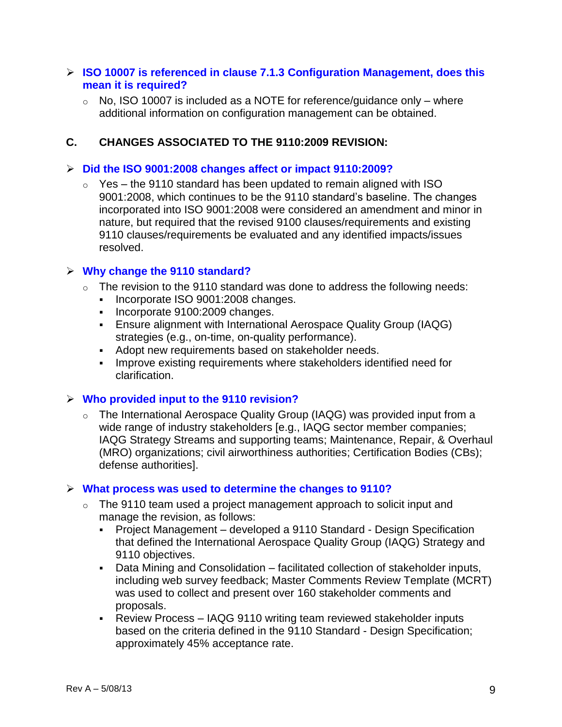#### **ISO 10007 is referenced in clause 7.1.3 Configuration Management, does this mean it is required?**

 $\circ$  No, ISO 10007 is included as a NOTE for reference/guidance only – where additional information on configuration management can be obtained.

#### **C. CHANGES ASSOCIATED TO THE 9110:2009 REVISION:**

#### **Did the ISO 9001:2008 changes affect or impact 9110:2009?**

 $\circ$  Yes – the 9110 standard has been updated to remain aligned with ISO 9001:2008, which continues to be the 9110 standard's baseline. The changes incorporated into ISO 9001:2008 were considered an amendment and minor in nature, but required that the revised 9100 clauses/requirements and existing 9110 clauses/requirements be evaluated and any identified impacts/issues resolved.

#### **Why change the 9110 standard?**

- $\circ$  The revision to the 9110 standard was done to address the following needs:
	- Incorporate ISO 9001:2008 changes.
	- Incorporate 9100:2009 changes.
	- Ensure alignment with International Aerospace Quality Group (IAQG) strategies (e.g., on-time, on-quality performance).
	- Adopt new requirements based on stakeholder needs.
	- **IMPROVE EXIST FEQUITEMENTS Where stakeholders identified need for** clarification.

#### **Who provided input to the 9110 revision?**

o The International Aerospace Quality Group (IAQG) was provided input from a wide range of industry stakeholders [e.g., IAQG sector member companies; IAQG Strategy Streams and supporting teams; Maintenance, Repair, & Overhaul (MRO) organizations; civil airworthiness authorities; Certification Bodies (CBs); defense authorities].

#### **What process was used to determine the changes to 9110?**

- $\circ$  The 9110 team used a project management approach to solicit input and manage the revision, as follows:
	- Project Management developed a 9110 Standard Design Specification that defined the International Aerospace Quality Group (IAQG) Strategy and 9110 objectives.
	- Data Mining and Consolidation facilitated collection of stakeholder inputs, including web survey feedback; Master Comments Review Template (MCRT) was used to collect and present over 160 stakeholder comments and proposals.
	- Review Process IAQG 9110 writing team reviewed stakeholder inputs based on the criteria defined in the 9110 Standard - Design Specification; approximately 45% acceptance rate.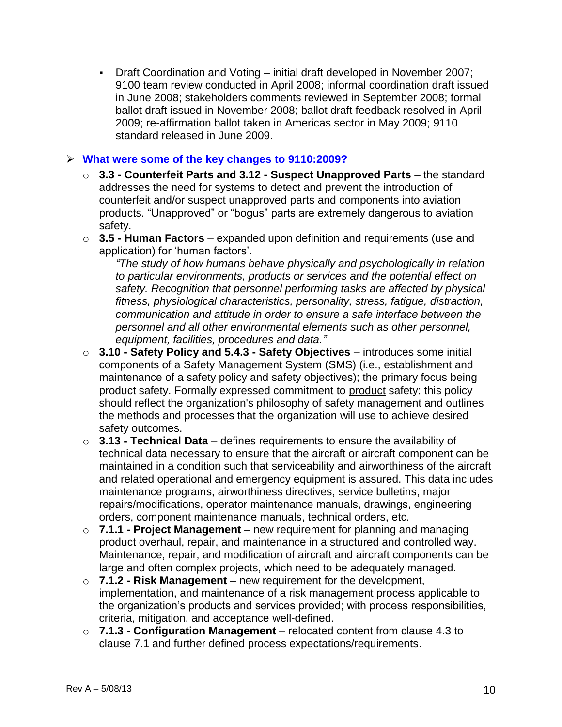Draft Coordination and Voting – initial draft developed in November 2007; 9100 team review conducted in April 2008; informal coordination draft issued in June 2008; stakeholders comments reviewed in September 2008; formal ballot draft issued in November 2008; ballot draft feedback resolved in April 2009; re-affirmation ballot taken in Americas sector in May 2009; 9110 standard released in June 2009.

#### **What were some of the key changes to 9110:2009?**

- o **3.3 - Counterfeit Parts and 3.12 - Suspect Unapproved Parts** the standard addresses the need for systems to detect and prevent the introduction of counterfeit and/or suspect unapproved parts and components into aviation products. "Unapproved" or "bogus" parts are extremely dangerous to aviation safety.
- o **3.5 - Human Factors** expanded upon definition and requirements (use and application) for 'human factors'.

*"The study of how humans behave physically and psychologically in relation to particular environments, products or services and the potential effect on safety. Recognition that personnel performing tasks are affected by physical fitness, physiological characteristics, personality, stress, fatigue, distraction, communication and attitude in order to ensure a safe interface between the personnel and all other environmental elements such as other personnel, equipment, facilities, procedures and data."*

- o **3.10 - Safety Policy and 5.4.3 - Safety Objectives** introduces some initial components of a Safety Management System (SMS) (i.e., establishment and maintenance of a safety policy and safety objectives); the primary focus being product safety. Formally expressed commitment to product safety; this policy should reflect the organization's philosophy of safety management and outlines the methods and processes that the organization will use to achieve desired safety outcomes.
- o **3.13 - Technical Data** defines requirements to ensure the availability of technical data necessary to ensure that the aircraft or aircraft component can be maintained in a condition such that serviceability and airworthiness of the aircraft and related operational and emergency equipment is assured. This data includes maintenance programs, airworthiness directives, service bulletins, major repairs/modifications, operator maintenance manuals, drawings, engineering orders, component maintenance manuals, technical orders, etc.
- o **7.1.1 - Project Management** new requirement for planning and managing product overhaul, repair, and maintenance in a structured and controlled way. Maintenance, repair, and modification of aircraft and aircraft components can be large and often complex projects, which need to be adequately managed.
- o **7.1.2 - Risk Management** new requirement for the development, implementation, and maintenance of a risk management process applicable to the organization's products and services provided; with process responsibilities, criteria, mitigation, and acceptance well-defined.
- o **7.1.3 - Configuration Management** relocated content from clause 4.3 to clause 7.1 and further defined process expectations/requirements.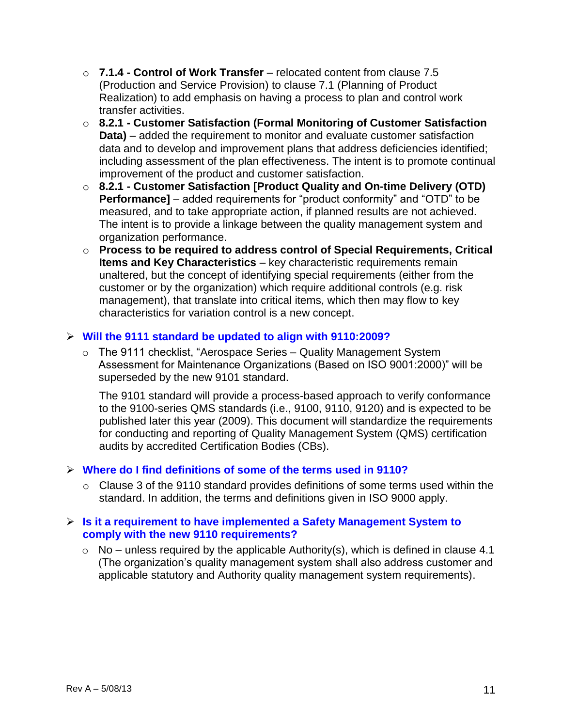- o **7.1.4 - Control of Work Transfer** relocated content from clause 7.5 (Production and Service Provision) to clause 7.1 (Planning of Product Realization) to add emphasis on having a process to plan and control work transfer activities.
- o **8.2.1 - Customer Satisfaction (Formal Monitoring of Customer Satisfaction Data)** – added the requirement to monitor and evaluate customer satisfaction data and to develop and improvement plans that address deficiencies identified; including assessment of the plan effectiveness. The intent is to promote continual improvement of the product and customer satisfaction.
- o **8.2.1 - Customer Satisfaction [Product Quality and On-time Delivery (OTD) Performance]** – added requirements for "product conformity" and "OTD" to be measured, and to take appropriate action, if planned results are not achieved. The intent is to provide a linkage between the quality management system and organization performance.
- o **Process to be required to address control of Special Requirements, Critical Items and Key Characteristics** – key characteristic requirements remain unaltered, but the concept of identifying special requirements (either from the customer or by the organization) which require additional controls (e.g. risk management), that translate into critical items, which then may flow to key characteristics for variation control is a new concept.

#### **Will the 9111 standard be updated to align with 9110:2009?**

 $\circ$  The 9111 checklist, "Aerospace Series – Quality Management System Assessment for Maintenance Organizations (Based on ISO 9001:2000)" will be superseded by the new 9101 standard.

The 9101 standard will provide a process-based approach to verify conformance to the 9100-series QMS standards (i.e., 9100, 9110, 9120) and is expected to be published later this year (2009). This document will standardize the requirements for conducting and reporting of Quality Management System (QMS) certification audits by accredited Certification Bodies (CBs).

#### **Where do I find definitions of some of the terms used in 9110?**

o Clause 3 of the 9110 standard provides definitions of some terms used within the standard. In addition, the terms and definitions given in ISO 9000 apply.

#### **Is it a requirement to have implemented a Safety Management System to comply with the new 9110 requirements?**

 $\circ$  No – unless required by the applicable Authority(s), which is defined in clause 4.1 (The organization's quality management system shall also address customer and applicable statutory and Authority quality management system requirements).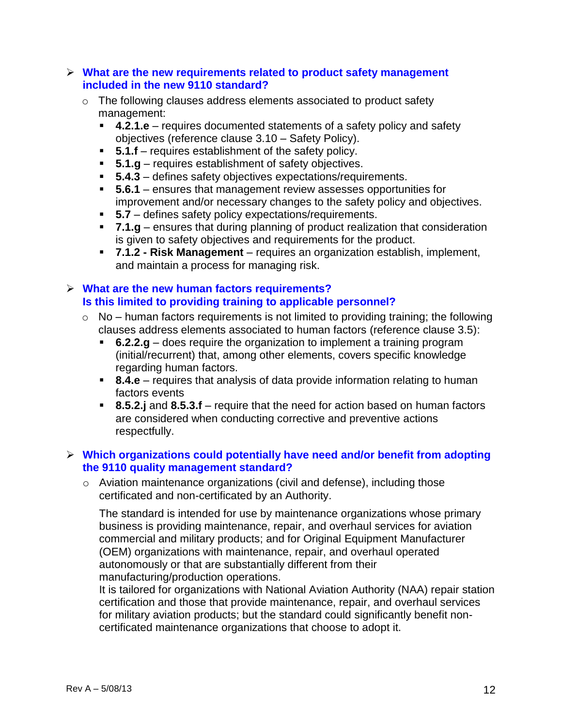#### **What are the new requirements related to product safety management included in the new 9110 standard?**

- o The following clauses address elements associated to product safety management:
	- **4.2.1.e** requires documented statements of a safety policy and safety objectives (reference clause 3.10 – Safety Policy).
	- **5.1.f** requires establishment of the safety policy.
	- **5.1.g** requires establishment of safety objectives.
	- **5.4.3** defines safety objectives expectations/requirements.
	- **5.6.1** ensures that management review assesses opportunities for improvement and/or necessary changes to the safety policy and objectives.
	- **5.7** defines safety policy expectations/requirements.
	- **7.1.g** ensures that during planning of product realization that consideration is given to safety objectives and requirements for the product.
	- **7.1.2 - Risk Management** requires an organization establish, implement, and maintain a process for managing risk.

#### **What are the new human factors requirements? Is this limited to providing training to applicable personnel?**

- $\circ$  No human factors requirements is not limited to providing training; the following clauses address elements associated to human factors (reference clause 3.5):
	- **6.2.2.g** does require the organization to implement a training program (initial/recurrent) that, among other elements, covers specific knowledge regarding human factors.
	- **8.4.e** requires that analysis of data provide information relating to human factors events
	- **8.5.2.j** and **8.5.3.f** require that the need for action based on human factors are considered when conducting corrective and preventive actions respectfully.

#### **Which organizations could potentially have need and/or benefit from adopting the 9110 quality management standard?**

o Aviation maintenance organizations (civil and defense), including those certificated and non-certificated by an Authority.

The standard is intended for use by maintenance organizations whose primary business is providing maintenance, repair, and overhaul services for aviation commercial and military products; and for Original Equipment Manufacturer (OEM) organizations with maintenance, repair, and overhaul operated autonomously or that are substantially different from their manufacturing/production operations.

It is tailored for organizations with National Aviation Authority (NAA) repair station certification and those that provide maintenance, repair, and overhaul services for military aviation products; but the standard could significantly benefit noncertificated maintenance organizations that choose to adopt it.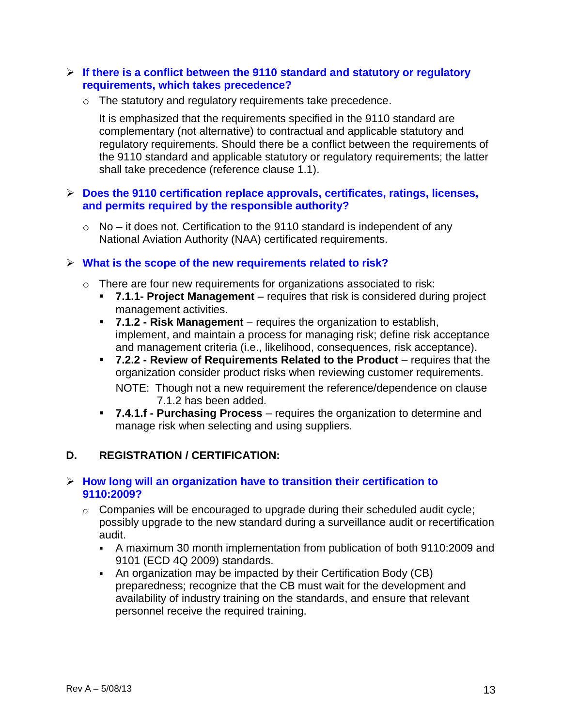#### **If there is a conflict between the 9110 standard and statutory or regulatory requirements, which takes precedence?**

o The statutory and regulatory requirements take precedence.

It is emphasized that the requirements specified in the 9110 standard are complementary (not alternative) to contractual and applicable statutory and regulatory requirements. Should there be a conflict between the requirements of the 9110 standard and applicable statutory or regulatory requirements; the latter shall take precedence (reference clause 1.1).

#### **Does the 9110 certification replace approvals, certificates, ratings, licenses, and permits required by the responsible authority?**

 $\circ$  No – it does not. Certification to the 9110 standard is independent of any National Aviation Authority (NAA) certificated requirements.

#### **What is the scope of the new requirements related to risk?**

- o There are four new requirements for organizations associated to risk:
	- **7.1.1- Project Management** requires that risk is considered during project management activities.
	- **7.1.2 - Risk Management** requires the organization to establish, implement, and maintain a process for managing risk; define risk acceptance and management criteria (i.e., likelihood, consequences, risk acceptance).
	- **7.2.2 - Review of Requirements Related to the Product** requires that the organization consider product risks when reviewing customer requirements. NOTE: Though not a new requirement the reference/dependence on clause 7.1.2 has been added.
	- **7.4.1.f - Purchasing Process** requires the organization to determine and manage risk when selecting and using suppliers.

#### **D. REGISTRATION / CERTIFICATION:**

#### **How long will an organization have to transition their certification to 9110:2009?**

- $\circ$  Companies will be encouraged to upgrade during their scheduled audit cycle; possibly upgrade to the new standard during a surveillance audit or recertification audit.
	- A maximum 30 month implementation from publication of both 9110:2009 and 9101 (ECD 4Q 2009) standards.
	- An organization may be impacted by their Certification Body (CB) preparedness; recognize that the CB must wait for the development and availability of industry training on the standards, and ensure that relevant personnel receive the required training.